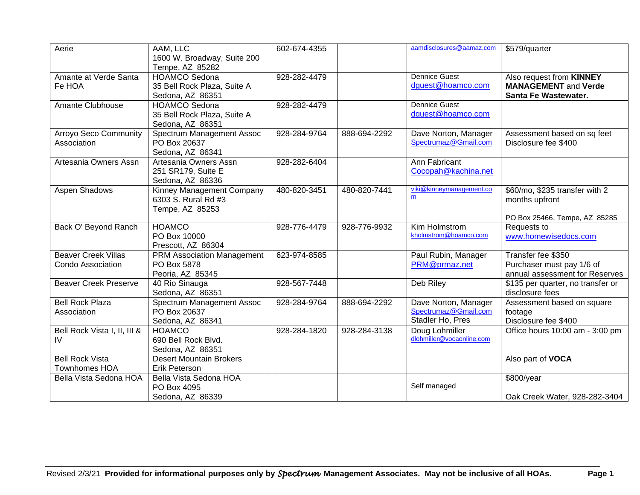| Aerie                        | AAM, LLC                          | 602-674-4355 |              | aamdisclosures@aamaz.com                    | \$579/quarter                     |
|------------------------------|-----------------------------------|--------------|--------------|---------------------------------------------|-----------------------------------|
|                              | 1600 W. Broadway, Suite 200       |              |              |                                             |                                   |
|                              | Tempe, AZ 85282                   |              |              |                                             |                                   |
| Amante at Verde Santa        | HOAMCO Sedona                     | 928-282-4479 |              | <b>Dennice Guest</b>                        | Also request from <b>KINNEY</b>   |
| Fe HOA                       | 35 Bell Rock Plaza, Suite A       |              |              | dguest@hoamco.com                           | <b>MANAGEMENT</b> and Verde       |
|                              | Sedona, AZ 86351                  |              |              |                                             | Santa Fe Wastewater.              |
| Amante Clubhouse             | <b>HOAMCO Sedona</b>              | 928-282-4479 |              | <b>Dennice Guest</b>                        |                                   |
|                              | 35 Bell Rock Plaza, Suite A       |              |              | dguest@hoamco.com                           |                                   |
|                              | Sedona, AZ 86351                  |              |              |                                             |                                   |
| <b>Arroyo Seco Community</b> | Spectrum Management Assoc         | 928-284-9764 | 888-694-2292 | Dave Norton, Manager                        | Assessment based on sq feet       |
| Association                  | PO Box 20637                      |              |              | Spectrumaz@Gmail.com                        | Disclosure fee \$400              |
|                              | Sedona, AZ 86341                  |              |              |                                             |                                   |
| Artesania Owners Assn        | Artesania Owners Assn             | 928-282-6404 |              | Ann Fabricant                               |                                   |
|                              | 251 SR179, Suite E                |              |              | Cocopah@kachina.net                         |                                   |
|                              | Sedona, AZ 86336                  |              |              |                                             |                                   |
| Aspen Shadows                | Kinney Management Company         | 480-820-3451 | 480-820-7441 | viki@kinneymanagement.co                    | \$60/mo, \$235 transfer with 2    |
|                              | 6303 S. Rural Rd #3               |              |              | m                                           | months upfront                    |
|                              | Tempe, AZ 85253                   |              |              |                                             |                                   |
|                              |                                   |              |              |                                             | PO Box 25466, Tempe, AZ 85285     |
| Back O' Beyond Ranch         | <b>HOAMCO</b>                     | 928-776-4479 | 928-776-9932 | Kim Holmstrom                               | Requests to                       |
|                              | PO Box 10000                      |              |              | kholmstrom@hoamco.com                       | www.homewisedocs.com              |
|                              | Prescott, AZ 86304                |              |              |                                             |                                   |
| <b>Beaver Creek Villas</b>   | <b>PRM Association Management</b> | 623-974-8585 |              | Paul Rubin, Manager                         | Transfer fee \$350                |
| Condo Association            | PO Box 5878                       |              |              | PRM@prmaz.net                               | Purchaser must pay 1/6 of         |
|                              | Peoria, AZ 85345                  |              |              |                                             | annual assessment for Reserves    |
| <b>Beaver Creek Preserve</b> | 40 Rio Sinauga                    | 928-567-7448 |              | Deb Riley                                   | \$135 per quarter, no transfer or |
|                              | Sedona, AZ 86351                  |              |              |                                             | disclosure fees                   |
| <b>Bell Rock Plaza</b>       | Spectrum Management Assoc         | 928-284-9764 | 888-694-2292 | Dave Norton, Manager                        | Assessment based on square        |
| Association                  | PO Box 20637                      |              |              | Spectrumaz@Gmail.com                        | footage                           |
|                              | Sedona, AZ 86341                  |              |              | Stadler Ho, Pres                            | Disclosure fee \$400              |
| Bell Rock Vista I, II, III & | <b>HOAMCO</b>                     | 928-284-1820 | 928-284-3138 | Doug Lohmiller<br>dlohmiller@vocaonline.com | Office hours 10:00 am - 3:00 pm   |
| IV                           | 690 Bell Rock Blvd.               |              |              |                                             |                                   |
|                              | Sedona, AZ 86351                  |              |              |                                             |                                   |
| <b>Bell Rock Vista</b>       | <b>Desert Mountain Brokers</b>    |              |              |                                             | Also part of VOCA                 |
| Townhomes HOA                | Erik Peterson                     |              |              |                                             |                                   |
| Bella Vista Sedona HOA       | Bella Vista Sedona HOA            |              |              | Self managed                                | \$800/year                        |
|                              | PO Box 4095                       |              |              |                                             |                                   |
|                              | Sedona, AZ 86339                  |              |              |                                             | Oak Creek Water, 928-282-3404     |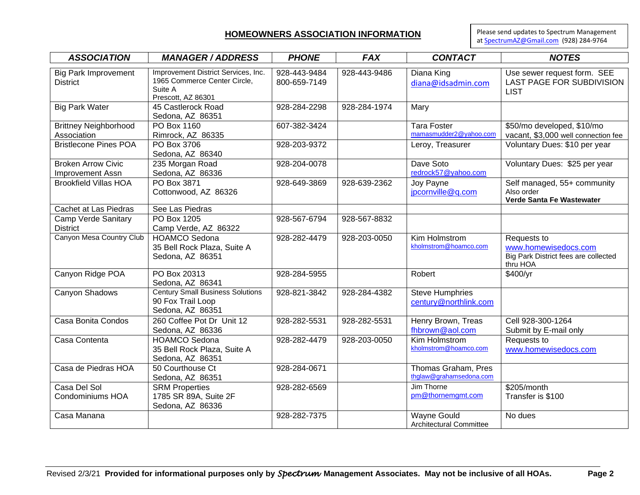| <b>ASSOCIATION</b>                             | <b>MANAGER / ADDRESS</b>                                                                             | <b>PHONE</b>                 | <b>FAX</b>   | <b>CONTACT</b>                                       | <b>NOTES</b>                                                                                   |
|------------------------------------------------|------------------------------------------------------------------------------------------------------|------------------------------|--------------|------------------------------------------------------|------------------------------------------------------------------------------------------------|
| <b>Big Park Improvement</b><br><b>District</b> | Improvement District Services, Inc.<br>1965 Commerce Center Circle,<br>Suite A<br>Prescott, AZ 86301 | 928-443-9484<br>800-659-7149 | 928-443-9486 | Diana King<br>diana@idsadmin.com                     | Use sewer request form. SEE<br><b>LAST PAGE FOR SUBDIVISION</b><br><b>LIST</b>                 |
| <b>Big Park Water</b>                          | 45 Castlerock Road<br>Sedona, AZ 86351                                                               | 928-284-2298                 | 928-284-1974 | Mary                                                 |                                                                                                |
| <b>Brittney Neighborhood</b><br>Association    | PO Box 1160<br>Rimrock, AZ 86335                                                                     | 607-382-3424                 |              | Tara Foster<br>mamasmudder2@yahoo.com                | \$50/mo developed, \$10/mo<br>vacant, \$3,000 well connection fee                              |
| <b>Bristlecone Pines POA</b>                   | PO Box 3706<br>Sedona, AZ 86340                                                                      | 928-203-9372                 |              | Leroy, Treasurer                                     | Voluntary Dues: \$10 per year                                                                  |
| <b>Broken Arrow Civic</b><br>Improvement Assn  | 235 Morgan Road<br>Sedona, AZ 86336                                                                  | 928-204-0078                 |              | Dave Soto<br>redrock57@yahoo.com                     | Voluntary Dues: \$25 per year                                                                  |
| <b>Brookfield Villas HOA</b>                   | PO Box 3871<br>Cottonwood, AZ 86326                                                                  | 928-649-3869                 | 928-639-2362 | Joy Payne<br>jpcornville@q.com                       | Self managed, 55+ community<br>Also order<br>Verde Santa Fe Wastewater                         |
| Cachet at Las Piedras                          | See Las Piedras                                                                                      |                              |              |                                                      |                                                                                                |
| Camp Verde Sanitary<br><b>District</b>         | PO Box 1205<br>Camp Verde, AZ 86322                                                                  | 928-567-6794                 | 928-567-8832 |                                                      |                                                                                                |
| Canyon Mesa Country Club                       | <b>HOAMCO</b> Sedona<br>35 Bell Rock Plaza, Suite A<br>Sedona, AZ 86351                              | 928-282-4479                 | 928-203-0050 | Kim Holmstrom<br>kholmstrom@hoamco.com               | Requests to<br>www.homewisedocs.com<br><b>Big Park District fees are collected</b><br>thru HOA |
| Canyon Ridge POA                               | PO Box 20313<br>Sedona, AZ 86341                                                                     | 928-284-5955                 |              | Robert                                               | \$400/yr                                                                                       |
| Canyon Shadows                                 | <b>Century Small Business Solutions</b><br>90 Fox Trail Loop<br>Sedona, AZ 86351                     | 928-821-3842                 | 928-284-4382 | <b>Steve Humphries</b><br>century@northlink.com      |                                                                                                |
| Casa Bonita Condos                             | 260 Coffee Pot Dr Unit 12<br>Sedona, AZ 86336                                                        | 928-282-5531                 | 928-282-5531 | Henry Brown, Treas<br>fhbrown@aol.com                | Cell 928-300-1264<br>Submit by E-mail only                                                     |
| Casa Contenta                                  | <b>HOAMCO Sedona</b><br>35 Bell Rock Plaza, Suite A<br>Sedona, AZ 86351                              | 928-282-4479                 | 928-203-0050 | Kim Holmstrom<br>kholmstrom@hoamco.com               | Requests to<br>www.homewisedocs.com                                                            |
| Casa de Piedras HOA                            | 50 Courthouse Ct<br>Sedona, AZ 86351                                                                 | 928-284-0671                 |              | Thomas Graham, Pres<br>thglaw@grahamsedona.com       |                                                                                                |
| Casa Del Sol<br>Condominiums HOA               | <b>SRM Properties</b><br>1785 SR 89A, Suite 2F<br>Sedona, AZ 86336                                   | 928-282-6569                 |              | Jim Thorne<br>pm@thornemgmt.com                      | \$205/month<br>Transfer is \$100                                                               |
| Casa Manana                                    |                                                                                                      | 928-282-7375                 |              | <b>Wayne Gould</b><br><b>Architectural Committee</b> | No dues                                                                                        |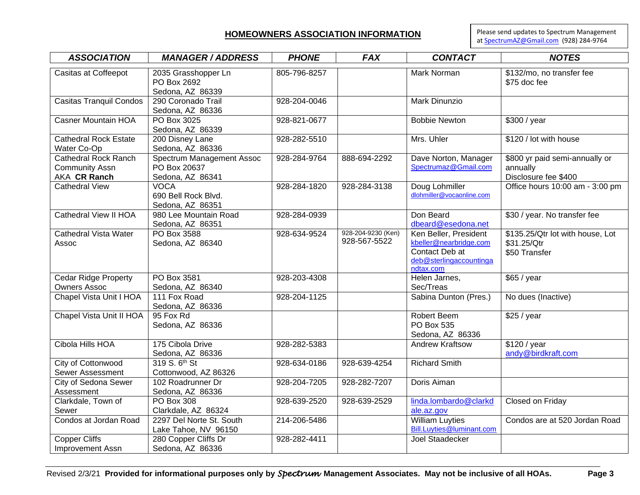| <b>ASSOCIATION</b>                                                   | <b>MANAGER / ADDRESS</b>                                      | <b>PHONE</b> | <b>FAX</b>                         | <b>CONTACT</b>                                                                                            | <b>NOTES</b>                                                       |
|----------------------------------------------------------------------|---------------------------------------------------------------|--------------|------------------------------------|-----------------------------------------------------------------------------------------------------------|--------------------------------------------------------------------|
| <b>Casitas at Coffeepot</b>                                          | 2035 Grasshopper Ln<br>PO Box 2692<br>Sedona, AZ 86339        | 805-796-8257 |                                    | <b>Mark Norman</b>                                                                                        | \$132/mo, no transfer fee<br>\$75 doc fee                          |
| <b>Casitas Tranquil Condos</b>                                       | 290 Coronado Trail<br>Sedona, AZ 86336                        | 928-204-0046 |                                    | <b>Mark Dinunzio</b>                                                                                      |                                                                    |
| <b>Casner Mountain HOA</b>                                           | PO Box 3025<br>Sedona, AZ 86339                               | 928-821-0677 |                                    | <b>Bobbie Newton</b>                                                                                      | \$300 / year                                                       |
| <b>Cathedral Rock Estate</b><br>Water Co-Op                          | 200 Disney Lane<br>Sedona, AZ 86336                           | 928-282-5510 |                                    | Mrs. Uhler                                                                                                | \$120 / lot with house                                             |
| <b>Cathedral Rock Ranch</b><br><b>Community Assn</b><br>AKA CR Ranch | Spectrum Management Assoc<br>PO Box 20637<br>Sedona, AZ 86341 | 928-284-9764 | 888-694-2292                       | Dave Norton, Manager<br>Spectrumaz@Gmail.com                                                              | \$800 yr paid semi-annually or<br>annually<br>Disclosure fee \$400 |
| <b>Cathedral View</b>                                                | <b>VOCA</b><br>690 Bell Rock Blvd.<br>Sedona, AZ 86351        | 928-284-1820 | 928-284-3138                       | Doug Lohmiller<br>dlohmiller@vocaonline.com                                                               | Office hours 10:00 am - 3:00 pm                                    |
| Cathedral View II HOA                                                | 980 Lee Mountain Road<br>Sedona, AZ 86351                     | 928-284-0939 |                                    | Don Beard<br>dbeard@esedona.net                                                                           | \$30 / year. No transfer fee                                       |
| Cathedral Vista Water<br>Assoc                                       | <b>PO Box 3588</b><br>Sedona, AZ 86340                        | 928-634-9524 | 928-204-9230 (Ken)<br>928-567-5522 | Ken Beller, President<br>kbeller@nearbridge.com<br>Contact Deb at<br>deb@sterlingaccountinga<br>ndtax.com | \$135.25/Qtr lot with house, Lot<br>\$31.25/Qtr<br>\$50 Transfer   |
| <b>Cedar Ridge Property</b><br><b>Owners Assoc</b>                   | PO Box 3581<br>Sedona, AZ 86340                               | 928-203-4308 |                                    | Helen Jarnes,<br>Sec/Treas                                                                                | \$65 / year                                                        |
| Chapel Vista Unit I HOA                                              | 111 Fox Road<br>Sedona, AZ 86336                              | 928-204-1125 |                                    | Sabina Dunton (Pres.)                                                                                     | No dues (Inactive)                                                 |
| Chapel Vista Unit II HOA                                             | 95 Fox Rd<br>Sedona, AZ 86336                                 |              |                                    | <b>Robert Beem</b><br>PO Box 535<br>Sedona, AZ 86336                                                      | \$25 / year                                                        |
| Cibola Hills HOA                                                     | 175 Cibola Drive<br>Sedona, AZ 86336                          | 928-282-5383 |                                    | <b>Andrew Kraftsow</b>                                                                                    | \$120 / year<br>andy@birdkraft.com                                 |
| City of Cottonwood<br>Sewer Assessment                               | 319 S. 6th St<br>Cottonwood, AZ 86326                         | 928-634-0186 | 928-639-4254                       | <b>Richard Smith</b>                                                                                      |                                                                    |
| <b>City of Sedona Sewer</b><br>Assessment                            | 102 Roadrunner Dr<br>Sedona, AZ 86336                         | 928-204-7205 | 928-282-7207                       | Doris Aiman                                                                                               |                                                                    |
| Clarkdale, Town of<br>Sewer                                          | <b>PO Box 308</b><br>Clarkdale, AZ 86324                      | 928-639-2520 | 928-639-2529                       | linda.lombardo@clarkd<br>ale.az.gov                                                                       | Closed on Friday                                                   |
| Condos at Jordan Road                                                | 2297 Del Norte St. South<br>Lake Tahoe, NV 96150              | 214-206-5486 |                                    | <b>William Luyties</b><br>Bill.Luyties@luminant.com                                                       | Condos are at 520 Jordan Road                                      |
| <b>Copper Cliffs</b><br><b>Improvement Assn</b>                      | 280 Copper Cliffs Dr<br>Sedona, AZ 86336                      | 928-282-4411 |                                    | Joel Staadecker                                                                                           |                                                                    |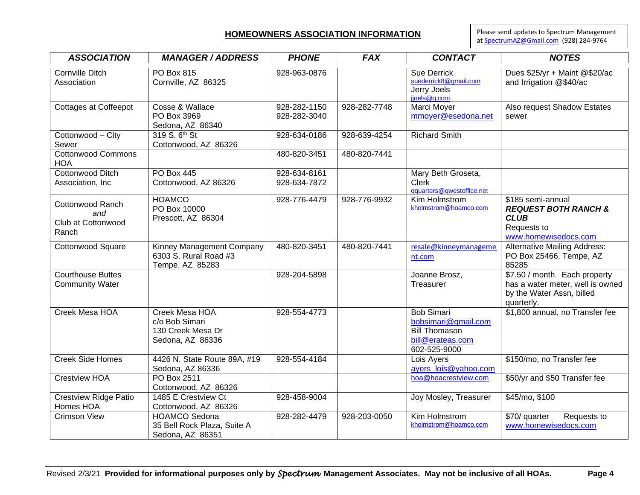| <b>ASSOCIATION</b>                                     | <b>MANAGER / ADDRESS</b>                                                  | <b>PHONE</b>                 | <b>FAX</b>   | <b>CONTACT</b>                                                                                       | <b>NOTES</b>                                                                                                 |
|--------------------------------------------------------|---------------------------------------------------------------------------|------------------------------|--------------|------------------------------------------------------------------------------------------------------|--------------------------------------------------------------------------------------------------------------|
| Cornville Ditch<br>Association                         | PO Box 815<br>Cornville, AZ 86325                                         | 928-963-0876                 |              | <b>Sue Derrick</b><br>suederrick8@gmail.com<br>Jerry Joels<br>jjoels@q.com                           | Dues \$25/yr + Maint @\$20/ac<br>and Irrigation @\$40/ac                                                     |
| <b>Cottages at Coffeepot</b>                           | Cosse & Wallace<br>PO Box 3969<br>Sedona, AZ 86340                        | 928-282-1150<br>928-282-3040 | 928-282-7748 | Marci Moyer<br>mmoyer@esedona.net                                                                    | Also request Shadow Estates<br>sewer                                                                         |
| Cottonwood - City<br>Sewer                             | 319 S. 6th St<br>Cottonwood, AZ 86326                                     | 928-634-0186                 | 928-639-4254 | <b>Richard Smith</b>                                                                                 |                                                                                                              |
| <b>Cottonwood Commons</b><br><b>HOA</b>                |                                                                           | 480-820-3451                 | 480-820-7441 |                                                                                                      |                                                                                                              |
| Cottonwood Ditch<br>Association, Inc.                  | <b>PO Box 445</b><br>Cottonwood, AZ 86326                                 | 928-634-8161<br>928-634-7872 |              | Mary Beth Groseta,<br><b>Clerk</b><br>qquarters@qwestoffice.net                                      |                                                                                                              |
| Cottonwood Ranch<br>and<br>Club at Cottonwood<br>Ranch | <b>HOAMCO</b><br>PO Box 10000<br>Prescott, AZ 86304                       | 928-776-4479                 | 928-776-9932 | Kim Holmstrom<br>kholmstrom@hoamco.com                                                               | \$185 semi-annual<br><b>REQUEST BOTH RANCH &amp;</b><br><b>CLUB</b><br>Requests to<br>www.homewisedocs.com   |
| Cottonwood Square                                      | Kinney Management Company<br>6303 S. Rural Road #3<br>Tempe, AZ 85283     | 480-820-3451                 | 480-820-7441 | resale@kinneymanageme<br>nt.com                                                                      | <b>Alternative Mailing Address:</b><br>PO Box 25466, Tempe, AZ<br>85285                                      |
| <b>Courthouse Buttes</b><br><b>Community Water</b>     |                                                                           | 928-204-5898                 |              | Joanne Brosz,<br>Treasurer                                                                           | \$7.50 / month. Each property<br>has a water meter, well is owned<br>by the Water Assn, billed<br>quarterly. |
| Creek Mesa HOA                                         | Creek Mesa HOA<br>c/o Bob Simari<br>130 Creek Mesa Dr<br>Sedona, AZ 86336 | 928-554-4773                 |              | <b>Bob Simari</b><br>bobsimari@gmail.com<br><b>Bill Thomason</b><br>bill@erateas.com<br>602-525-9000 | \$1,800 annual, no Transfer fee                                                                              |
| <b>Creek Side Homes</b>                                | 4426 N. State Route 89A, #19<br>Sedona, AZ 86336                          | 928-554-4184                 |              | Lois Ayers<br>ayers_lois@yahoo.com                                                                   | \$150/mo, no Transfer fee                                                                                    |
| <b>Crestview HOA</b>                                   | PO Box 2511<br>Cottonwood, AZ 86326                                       |                              |              | hoa@hoacrestview.com                                                                                 | \$50/yr and \$50 Transfer fee                                                                                |
| <b>Crestview Ridge Patio</b><br>Homes HOA              | 1485 E Crestview Ct<br>Cottonwood, AZ 86326                               | 928-458-9004                 |              | Joy Mosley, Treasurer                                                                                | \$45/mo, \$100                                                                                               |
| <b>Crimson View</b>                                    | <b>HOAMCO</b> Sedona<br>35 Bell Rock Plaza, Suite A<br>Sedona, AZ 86351   | 928-282-4479                 | 928-203-0050 | Kim Holmstrom<br>kholmstrom@hoamco.com                                                               | \$70/ quarter<br>Requests to<br>www.homewisedocs.com                                                         |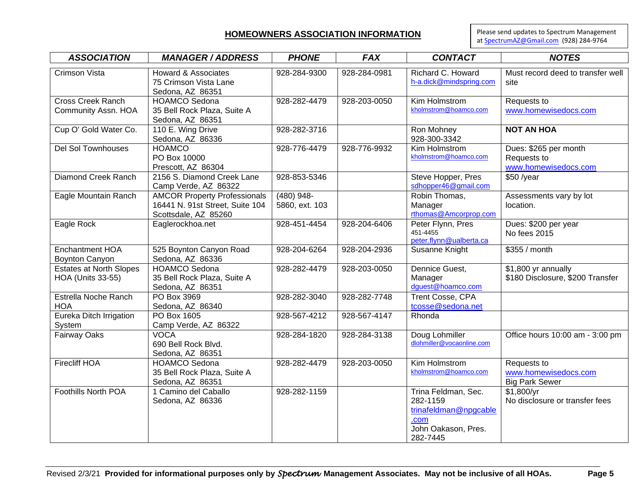| <b>ASSOCIATION</b>                                         | <b>MANAGER / ADDRESS</b>                                                                       | <b>PHONE</b>                   | <b>FAX</b>   | <b>CONTACT</b>                                                                                      | <b>NOTES</b>                                                 |
|------------------------------------------------------------|------------------------------------------------------------------------------------------------|--------------------------------|--------------|-----------------------------------------------------------------------------------------------------|--------------------------------------------------------------|
| <b>Crimson Vista</b>                                       | <b>Howard &amp; Associates</b><br>75 Crimson Vista Lane<br>Sedona, AZ 86351                    | 928-284-9300                   | 928-284-0981 | Richard C. Howard<br>h-a.dick@mindspring.com                                                        | Must record deed to transfer well<br>site                    |
| <b>Cross Creek Ranch</b><br>Community Assn. HOA            | <b>HOAMCO</b> Sedona<br>35 Bell Rock Plaza, Suite A<br>Sedona, AZ 86351                        | 928-282-4479                   | 928-203-0050 | Kim Holmstrom<br>kholmstrom@hoamco.com                                                              | Requests to<br>www.homewisedocs.com                          |
| Cup O' Gold Water Co.                                      | 110 E. Wing Drive<br>Sedona, AZ 86336                                                          | 928-282-3716                   |              | Ron Mohney<br>928-300-3342                                                                          | <b>NOT AN HOA</b>                                            |
| <b>Del Sol Townhouses</b>                                  | <b>HOAMCO</b><br>PO Box 10000<br>Prescott, AZ 86304                                            | 928-776-4479                   | 928-776-9932 | Kim Holmstrom<br>kholmstrom@hoamco.com                                                              | Dues: \$265 per month<br>Requests to<br>www.homewisedocs.com |
| Diamond Creek Ranch                                        | 2156 S. Diamond Creek Lane<br>Camp Verde, AZ 86322                                             | 928-853-5346                   |              | Steve Hopper, Pres<br>sdhopper46@gmail.com                                                          | $$50$ /year                                                  |
| Eagle Mountain Ranch                                       | <b>AMCOR Property Professionals</b><br>16441 N. 91st Street, Suite 104<br>Scottsdale, AZ 85260 | $(480)$ 948-<br>5860, ext. 103 |              | Robin Thomas,<br>Manager<br>rthomas@Amcorprop.com                                                   | Assessments vary by lot<br>location.                         |
| Eagle Rock                                                 | Eaglerockhoa.net                                                                               | 928-451-4454                   | 928-204-6406 | Peter Flynn, Pres<br>451-4455<br>peter.flynn@ualberta.ca                                            | Dues: \$200 per year<br>No fees 2015                         |
| <b>Enchantment HOA</b><br><b>Boynton Canyon</b>            | 525 Boynton Canyon Road<br>Sedona, AZ 86336                                                    | 928-204-6264                   | 928-204-2936 | Susanne Knight                                                                                      | \$355 / month                                                |
| <b>Estates at North Slopes</b><br><b>HOA (Units 33-55)</b> | <b>HOAMCO</b> Sedona<br>35 Bell Rock Plaza, Suite A<br>Sedona, AZ 86351                        | 928-282-4479                   | 928-203-0050 | Dennice Guest,<br>Manager<br>dguest@hoamco.com                                                      | \$1,800 yr annually<br>\$180 Disclosure, \$200 Transfer      |
| Estrella Noche Ranch<br><b>HOA</b>                         | PO Box 3969<br>Sedona, AZ 86340                                                                | 928-282-3040                   | 928-282-7748 | Trent Cosse, CPA<br>tcosse@sedona.net                                                               |                                                              |
| Eureka Ditch Irrigation<br>System                          | PO Box 1605<br>Camp Verde, AZ 86322                                                            | 928-567-4212                   | 928-567-4147 | Rhonda                                                                                              |                                                              |
| <b>Fairway Oaks</b>                                        | <b>VOCA</b><br>690 Bell Rock Blvd.<br>Sedona, AZ 86351                                         | 928-284-1820                   | 928-284-3138 | Doug Lohmiller<br>dlohmiller@vocaonline.com                                                         | Office hours 10:00 am - 3:00 pm                              |
| <b>Firecliff HOA</b>                                       | <b>HOAMCO Sedona</b><br>35 Bell Rock Plaza, Suite A<br>Sedona, AZ 86351                        | 928-282-4479                   | 928-203-0050 | Kim Holmstrom<br>kholmstrom@hoamco.com                                                              | Requests to<br>www.homewisedocs.com<br><b>Big Park Sewer</b> |
| Foothills North POA                                        | 1 Camino del Caballo<br>Sedona, AZ 86336                                                       | 928-282-1159                   |              | Trina Feldman, Sec.<br>282-1159<br>trinafeldman@npgcable<br>.com<br>John Oakason, Pres.<br>282-7445 | \$1,800/yr<br>No disclosure or transfer fees                 |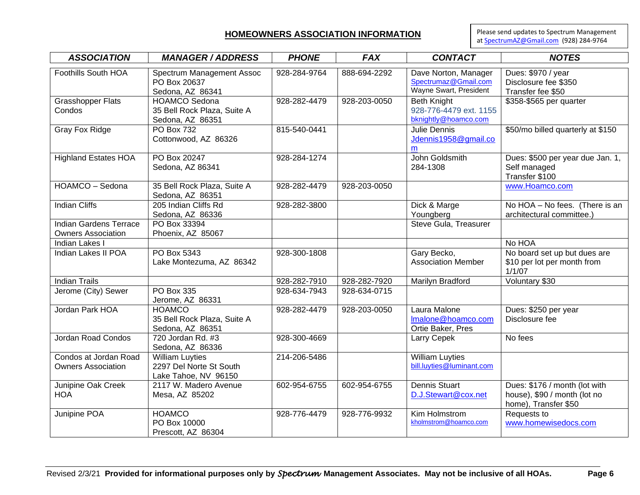| <b>ASSOCIATION</b>                                         | <b>MANAGER / ADDRESS</b>                                                  | <b>PHONE</b> | <b>FAX</b>   | <b>CONTACT</b>                                                         | <b>NOTES</b>                                                                          |
|------------------------------------------------------------|---------------------------------------------------------------------------|--------------|--------------|------------------------------------------------------------------------|---------------------------------------------------------------------------------------|
| <b>Foothills South HOA</b>                                 | Spectrum Management Assoc<br>PO Box 20637<br>Sedona, AZ 86341             | 928-284-9764 | 888-694-2292 | Dave Norton, Manager<br>Spectrumaz@Gmail.com<br>Wayne Swart, President | Dues: \$970 / year<br>Disclosure fee \$350<br>Transfer fee \$50                       |
| <b>Grasshopper Flats</b><br>Condos                         | <b>HOAMCO</b> Sedona<br>35 Bell Rock Plaza, Suite A<br>Sedona, AZ 86351   | 928-282-4479 | 928-203-0050 | <b>Beth Knight</b><br>928-776-4479 ext. 1155<br>bknightly@hoamco.com   | \$358-\$565 per quarter                                                               |
| Gray Fox Ridge                                             | <b>PO Box 732</b><br>Cottonwood, AZ 86326                                 | 815-540-0441 |              | Julie Dennis<br>Jdennis1958@gmail.co<br>m                              | \$50/mo billed quarterly at \$150                                                     |
| <b>Highland Estates HOA</b>                                | PO Box 20247<br>Sedona, AZ 86341                                          | 928-284-1274 |              | John Goldsmith<br>284-1308                                             | Dues: \$500 per year due Jan. 1,<br>Self managed<br>Transfer \$100                    |
| HOAMCO - Sedona                                            | 35 Bell Rock Plaza, Suite A<br>Sedona, AZ 86351                           | 928-282-4479 | 928-203-0050 |                                                                        | www.Hoamco.com                                                                        |
| <b>Indian Cliffs</b>                                       | 205 Indian Cliffs Rd<br>Sedona, AZ 86336                                  | 928-282-3800 |              | Dick & Marge<br>Youngberg                                              | No HOA - No fees. (There is an<br>architectural committee.)                           |
| <b>Indian Gardens Terrace</b><br><b>Owners Association</b> | PO Box 33394<br>Phoenix, AZ 85067                                         |              |              | Steve Gula, Treasurer                                                  |                                                                                       |
| Indian Lakes I                                             |                                                                           |              |              |                                                                        | No HOA                                                                                |
| Indian Lakes II POA                                        | PO Box 5343<br>Lake Montezuma, AZ 86342                                   | 928-300-1808 |              | Gary Becko,<br><b>Association Member</b>                               | No board set up but dues are<br>\$10 per lot per month from<br>1/1/07                 |
| <b>Indian Trails</b>                                       |                                                                           | 928-282-7910 | 928-282-7920 | Marilyn Bradford                                                       | Voluntary \$30                                                                        |
| Jerome (City) Sewer                                        | PO Box 335<br>Jerome, AZ 86331                                            | 928-634-7943 | 928-634-0715 |                                                                        |                                                                                       |
| Jordan Park HOA                                            | <b>HOAMCO</b><br>35 Bell Rock Plaza, Suite A<br>Sedona, AZ 86351          | 928-282-4479 | 928-203-0050 | Laura Malone<br>Imalone@hoamco.com<br>Ortie Baker, Pres                | Dues: \$250 per year<br>Disclosure fee                                                |
| Jordan Road Condos                                         | 720 Jordan Rd. #3<br>Sedona, AZ 86336                                     | 928-300-4669 |              | Larry Cepek                                                            | No fees                                                                               |
| Condos at Jordan Road<br><b>Owners Association</b>         | <b>William Luyties</b><br>2297 Del Norte St South<br>Lake Tahoe, NV 96150 | 214-206-5486 |              | <b>William Luyties</b><br>bill.luyties@luminant.com                    |                                                                                       |
| Junipine Oak Creek<br><b>HOA</b>                           | 2117 W. Madero Avenue<br>Mesa, AZ 85202                                   | 602-954-6755 | 602-954-6755 | <b>Dennis Stuart</b><br>D.J.Stewart@cox.net                            | Dues: \$176 / month (lot with<br>house), \$90 / month (lot no<br>home), Transfer \$50 |
| Junipine POA                                               | <b>HOAMCO</b><br>PO Box 10000<br>Prescott, AZ 86304                       | 928-776-4479 | 928-776-9932 | Kim Holmstrom<br>kholmstrom@hoamco.com                                 | Requests to<br>www.homewisedocs.com                                                   |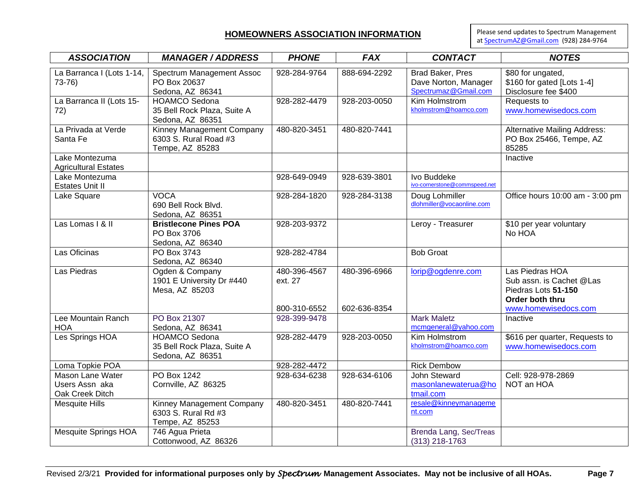| <b>ASSOCIATION</b>                            | <b>MANAGER / ADDRESS</b>                                                | <b>PHONE</b>            | <b>FAX</b>   | <b>CONTACT</b>                                                   | <b>NOTES</b>                                                                          |
|-----------------------------------------------|-------------------------------------------------------------------------|-------------------------|--------------|------------------------------------------------------------------|---------------------------------------------------------------------------------------|
| La Barranca I (Lots 1-14,<br>$73-76$          | Spectrum Management Assoc<br>PO Box 20637<br>Sedona, AZ 86341           | 928-284-9764            | 888-694-2292 | Brad Baker, Pres<br>Dave Norton, Manager<br>Spectrumaz@Gmail.com | \$80 for ungated,<br>\$160 for gated [Lots 1-4]<br>Disclosure fee \$400               |
| La Barranca II (Lots 15-<br>72)               | <b>HOAMCO</b> Sedona<br>35 Bell Rock Plaza, Suite A<br>Sedona, AZ 86351 | 928-282-4479            | 928-203-0050 | Kim Holmstrom<br>kholmstrom@hoamco.com                           | Requests to<br>www.homewisedocs.com                                                   |
| La Privada at Verde<br>Santa Fe               | Kinney Management Company<br>6303 S. Rural Road #3<br>Tempe, AZ 85283   | 480-820-3451            | 480-820-7441 |                                                                  | <b>Alternative Mailing Address:</b><br>PO Box 25466, Tempe, AZ<br>85285               |
| Lake Montezuma<br><b>Agricultural Estates</b> |                                                                         |                         |              |                                                                  | Inactive                                                                              |
| Lake Montezuma<br><b>Estates Unit II</b>      |                                                                         | 928-649-0949            | 928-639-3801 | Ivo Buddeke<br>ivo-cornerstone@commspeed.net                     |                                                                                       |
| Lake Square                                   | <b>VOCA</b><br>690 Bell Rock Blvd.<br>Sedona, AZ 86351                  | 928-284-1820            | 928-284-3138 | Doug Lohmiller<br>dlohmiller@vocaonline.com                      | Office hours 10:00 am - 3:00 pm                                                       |
| Las Lomas   & II                              | <b>Bristlecone Pines POA</b><br>PO Box 3706<br>Sedona, AZ 86340         | 928-203-9372            |              | Leroy - Treasurer                                                | \$10 per year voluntary<br>No HOA                                                     |
| Las Oficinas                                  | PO Box 3743<br>Sedona, AZ 86340                                         | 928-282-4784            |              | <b>Bob Groat</b>                                                 |                                                                                       |
| Las Piedras                                   | Ogden & Company<br>1901 E University Dr #440<br>Mesa, AZ 85203          | 480-396-4567<br>ext. 27 | 480-396-6966 | lorip@ogdenre.com                                                | Las Piedras HOA<br>Sub assn. is Cachet @Las<br>Piedras Lots 51-150<br>Order both thru |
|                                               |                                                                         | 800-310-6552            | 602-636-8354 |                                                                  | www.homewisedocs.com                                                                  |
| Lee Mountain Ranch<br><b>HOA</b>              | PO Box 21307<br>Sedona, AZ 86341                                        | 928-399-9478            |              | <b>Mark Maletz</b><br>mcmgeneral@yahoo.com                       | Inactive                                                                              |
| Les Springs HOA                               | <b>HOAMCO</b> Sedona<br>35 Bell Rock Plaza, Suite A<br>Sedona, AZ 86351 | 928-282-4479            | 928-203-0050 | Kim Holmstrom<br>kholmstrom@hoamco.com                           | \$616 per quarter, Requests to<br>www.homewisedocs.com                                |
| Loma Topkie POA                               |                                                                         | 928-282-4472            |              | <b>Rick Dembow</b>                                               |                                                                                       |
| Mason Lane Water<br>Users Assn aka            | <b>PO Box 1242</b><br>Cornville, AZ 86325                               | 928-634-6238            | 928-634-6106 | <b>John Steward</b><br>masonlanewaterua@ho                       | Cell: 928-978-2869<br>NOT an HOA                                                      |
| Oak Creek Ditch<br><b>Mesquite Hills</b>      | Kinney Management Company<br>6303 S. Rural Rd #3<br>Tempe, AZ 85253     | 480-820-3451            | 480-820-7441 | tmail.com<br>resale@kinneymanageme<br>nt.com                     |                                                                                       |
| Mesquite Springs HOA                          | 746 Agua Prieta<br>Cottonwood, AZ 86326                                 |                         |              | Brenda Lang, Sec/Treas<br>(313) 218-1763                         |                                                                                       |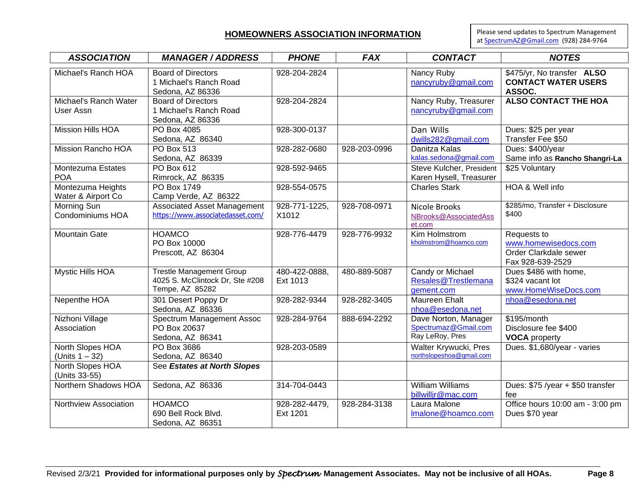| <b>ASSOCIATION</b>                      | <b>MANAGER / ADDRESS</b>                                                              | <b>PHONE</b>              | <b>FAX</b>   | <b>CONTACT</b>                                                  | <b>NOTES</b>                                                                     |
|-----------------------------------------|---------------------------------------------------------------------------------------|---------------------------|--------------|-----------------------------------------------------------------|----------------------------------------------------------------------------------|
| Michael's Ranch HOA                     | <b>Board of Directors</b><br>1 Michael's Ranch Road<br>Sedona, AZ 86336               | 928-204-2824              |              | Nancy Ruby<br>nancyruby@gmail.com                               | \$475/yr, No transfer ALSO<br><b>CONTACT WATER USERS</b><br>ASSOC.               |
| Michael's Ranch Water<br>User Assn      | <b>Board of Directors</b><br>1 Michael's Ranch Road<br>Sedona, AZ 86336               | 928-204-2824              |              | Nancy Ruby, Treasurer<br>nancyruby@gmail.com                    | <b>ALSO CONTACT THE HOA</b>                                                      |
| <b>Mission Hills HOA</b>                | PO Box 4085<br>Sedona, AZ 86340                                                       | 928-300-0137              |              | Dan Wills<br>dwills282@gmail.com                                | Dues: \$25 per year<br>Transfer Fee \$50                                         |
| <b>Mission Rancho HOA</b>               | <b>PO Box 513</b><br>Sedona, AZ 86339                                                 | 928-282-0680              | 928-203-0996 | Danitza Kalas<br>kalas.sedona@gmail.com                         | Dues: \$400/year<br>Same info as Rancho Shangri-La                               |
| Montezuma Estates<br><b>POA</b>         | PO Box 612<br>Rimrock, AZ 86335                                                       | 928-592-9465              |              | Steve Kulcher, President<br>Karen Hysell, Treasurer             | \$25 Voluntary                                                                   |
| Montezuma Heights<br>Water & Airport Co | PO Box 1749<br>Camp Verde, AZ 86322                                                   | 928-554-0575              |              | <b>Charles Stark</b>                                            | HOA & Well info                                                                  |
| Morning Sun<br>Condominiums HOA         | <b>Associated Asset Management</b><br>https://www.associatedasset.com/                | 928-771-1225,<br>X1012    | 928-708-0971 | Nicole Brooks<br>NBrooks@AssociatedAss<br>et.com                | \$285/mo, Transfer + Disclosure<br>\$400                                         |
| <b>Mountain Gate</b>                    | <b>HOAMCO</b><br>PO Box 10000<br>Prescott, AZ 86304                                   | 928-776-4479              | 928-776-9932 | Kim Holmstrom<br>kholmstrom@hoamco.com                          | Requests to<br>www.homewisedocs.com<br>Order Clarkdale sewer<br>Fax 928-639-2529 |
| <b>Mystic Hills HOA</b>                 | <b>Trestle Management Group</b><br>4025 S. McClintock Dr, Ste #208<br>Tempe, AZ 85282 | 480-422-0888,<br>Ext 1013 | 480-889-5087 | Candy or Michael<br>Resales@Trestlemana<br>gement.com           | Dues \$486 with home,<br>\$324 vacant lot<br>www.HomeWiseDocs.com                |
| Nepenthe HOA                            | 301 Desert Poppy Dr<br>Sedona, AZ 86336                                               | 928-282-9344              | 928-282-3405 | Maureen Ehalt<br>nhoa@esedona.net                               | nhoa@esedona.net                                                                 |
| Nizhoni Village<br>Association          | Spectrum Management Assoc<br>PO Box 20637<br>Sedona, AZ 86341                         | 928-284-9764              | 888-694-2292 | Dave Norton, Manager<br>Spectrumaz@Gmail.com<br>Ray LeRoy, Pres | \$195/month<br>Disclosure fee \$400<br><b>VOCA</b> property                      |
| North Slopes HOA<br>(Units $1 - 32$ )   | PO Box 3686<br>Sedona, AZ 86340                                                       | 928-203-0589              |              | Walter Krywucki, Pres<br>northslopeshoa@gmail.com               | Dues. \$1,680/year - varies                                                      |
| North Slopes HOA<br>(Units 33-55)       | See Estates at North Slopes                                                           |                           |              |                                                                 |                                                                                  |
| Northern Shadows HOA                    | Sedona, AZ 86336                                                                      | 314-704-0443              |              | <b>William Williams</b><br>billwilljr@mac.com                   | Dues: \$75 /year + \$50 transfer<br>fee                                          |
| Northview Association                   | <b>HOAMCO</b><br>690 Bell Rock Blvd.<br>Sedona, AZ 86351                              | 928-282-4479,<br>Ext 1201 | 928-284-3138 | Laura Malone<br>Imalone@hoamco.com                              | Office hours 10:00 am - 3:00 pm<br>Dues \$70 year                                |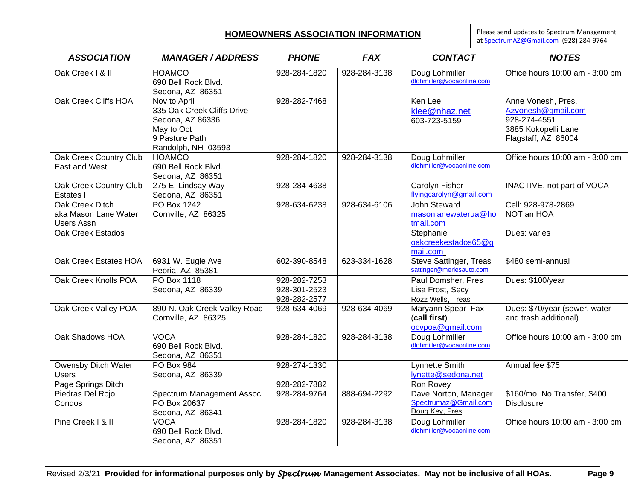| <b>ASSOCIATION</b>                                           | <b>MANAGER / ADDRESS</b>                                                                                             | <b>PHONE</b>                                 | <b>FAX</b>   | <b>CONTACT</b>                                                 | <b>NOTES</b>                                                                                           |
|--------------------------------------------------------------|----------------------------------------------------------------------------------------------------------------------|----------------------------------------------|--------------|----------------------------------------------------------------|--------------------------------------------------------------------------------------------------------|
| Oak Creek   & II                                             | <b>HOAMCO</b><br>690 Bell Rock Blvd.<br>Sedona, AZ 86351                                                             | 928-284-1820                                 | 928-284-3138 | Doug Lohmiller<br>dlohmiller@vocaonline.com                    | Office hours 10:00 am - 3:00 pm                                                                        |
| Oak Creek Cliffs HOA                                         | Nov to April<br>335 Oak Creek Cliffs Drive<br>Sedona, AZ 86336<br>May to Oct<br>9 Pasture Path<br>Randolph, NH 03593 | 928-282-7468                                 |              | Ken Lee<br>klee@nhaz.net<br>603-723-5159                       | Anne Vonesh, Pres.<br>Azvonesh@gmail.com<br>928-274-4551<br>3885 Kokopelli Lane<br>Flagstaff, AZ 86004 |
| Oak Creek Country Club<br>East and West                      | <b>HOAMCO</b><br>690 Bell Rock Blvd.<br>Sedona, AZ 86351                                                             | 928-284-1820                                 | 928-284-3138 | Doug Lohmiller<br>dlohmiller@vocaonline.com                    | Office hours 10:00 am - 3:00 pm                                                                        |
| Oak Creek Country Club<br>Estates I                          | 275 E. Lindsay Way<br>Sedona, AZ 86351                                                                               | 928-284-4638                                 |              | <b>Carolyn Fisher</b><br>flyingcarolyn@gmail.com               | INACTIVE, not part of VOCA                                                                             |
| Oak Creek Ditch<br>aka Mason Lane Water<br><b>Users Assn</b> | <b>PO Box 1242</b><br>Cornville, AZ 86325                                                                            | 928-634-6238                                 | 928-634-6106 | <b>John Steward</b><br>masonlanewaterua@ho<br>tmail.com        | Cell: 928-978-2869<br>NOT an HOA                                                                       |
| Oak Creek Estados                                            |                                                                                                                      |                                              |              | Stephanie<br>oakcreekestados65@g<br>mail.com                   | Dues: varies                                                                                           |
| Oak Creek Estates HOA                                        | 6931 W. Eugie Ave<br>Peoria, AZ 85381                                                                                | 602-390-8548                                 | 623-334-1628 | <b>Steve Sattinger, Treas</b><br>sattinger@merlesauto.com      | \$480 semi-annual                                                                                      |
| Oak Creek Knolls POA                                         | PO Box 1118<br>Sedona, AZ 86339                                                                                      | 928-282-7253<br>928-301-2523<br>928-282-2577 |              | Paul Domsher, Pres<br>Lisa Frost, Secy<br>Rozz Wells, Treas    | Dues: \$100/year                                                                                       |
| Oak Creek Valley POA                                         | 890 N. Oak Creek Valley Road<br>Cornville, AZ 86325                                                                  | 928-634-4069                                 | 928-634-4069 | Maryann Spear Fax<br>(call first)<br>ocvpoa@gmail.com          | Dues: \$70/year (sewer, water<br>and trash additional)                                                 |
| Oak Shadows HOA                                              | <b>VOCA</b><br>690 Bell Rock Blvd.<br>Sedona, AZ 86351                                                               | 928-284-1820                                 | 928-284-3138 | Doug Lohmiller<br>dlohmiller@vocaonline.com                    | Office hours 10:00 am - 3:00 pm                                                                        |
| <b>Owensby Ditch Water</b><br><b>Users</b>                   | PO Box 984<br>Sedona, AZ 86339                                                                                       | 928-274-1330                                 |              | <b>Lynnette Smith</b><br>lynette@sedona.net                    | Annual fee \$75                                                                                        |
| Page Springs Ditch                                           |                                                                                                                      | 928-282-7882                                 |              | Ron Rovey                                                      |                                                                                                        |
| Piedras Del Rojo<br>Condos                                   | Spectrum Management Assoc<br>PO Box 20637<br>Sedona, AZ 86341                                                        | 928-284-9764                                 | 888-694-2292 | Dave Norton, Manager<br>Spectrumaz@Gmail.com<br>Doug Key, Pres | \$160/mo, No Transfer, \$400<br><b>Disclosure</b>                                                      |
| Pine Creek   & II                                            | <b>VOCA</b><br>690 Bell Rock Blvd.<br>Sedona, AZ 86351                                                               | 928-284-1820                                 | 928-284-3138 | Doug Lohmiller<br>dlohmiller@vocaonline.com                    | Office hours 10:00 am - 3:00 pm                                                                        |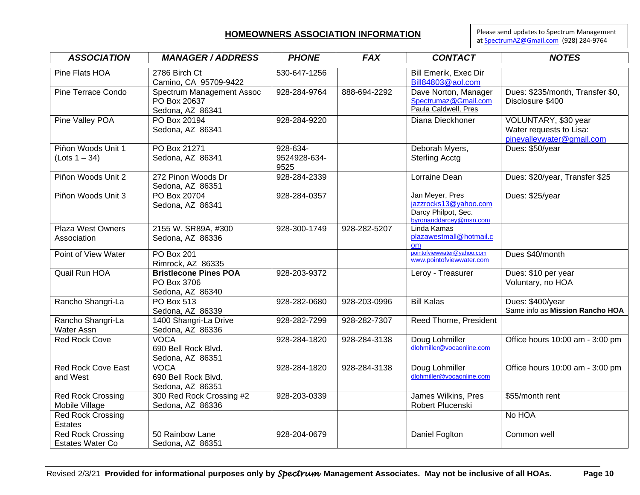| <b>ASSOCIATION</b>                           | <b>MANAGER / ADDRESS</b>                                        | <b>PHONE</b>                     | <b>FAX</b>   | <b>CONTACT</b>                                                                            | <b>NOTES</b>                                                                 |
|----------------------------------------------|-----------------------------------------------------------------|----------------------------------|--------------|-------------------------------------------------------------------------------------------|------------------------------------------------------------------------------|
| Pine Flats HOA                               | 2786 Birch Ct<br>Camino, CA 95709-9422                          | 530-647-1256                     |              | Bill Emerik, Exec Dir<br>Bill84803@aol.com                                                |                                                                              |
| Pine Terrace Condo                           | Spectrum Management Assoc<br>PO Box 20637<br>Sedona, AZ 86341   | 928-284-9764                     | 888-694-2292 | Dave Norton, Manager<br>Spectrumaz@Gmail.com<br>Paula Caldwell, Pres                      | Dues: \$235/month, Transfer \$0,<br>Disclosure \$400                         |
| Pine Valley POA                              | PO Box 20194<br>Sedona, AZ 86341                                | 928-284-9220                     |              | Diana Dieckhoner                                                                          | VOLUNTARY, \$30 year<br>Water requests to Lisa:<br>pinevalleywater@gmail.com |
| Piñon Woods Unit 1<br>$(Lots 1 - 34)$        | PO Box 21271<br>Sedona, AZ 86341                                | 928-634-<br>9524928-634-<br>9525 |              | Deborah Myers,<br><b>Sterling Acctg</b>                                                   | Dues: \$50/year                                                              |
| Piñon Woods Unit 2                           | 272 Pinon Woods Dr<br>Sedona, AZ 86351                          | 928-284-2339                     |              | Lorraine Dean                                                                             | Dues: \$20/year, Transfer \$25                                               |
| Piñon Woods Unit 3                           | PO Box 20704<br>Sedona, AZ 86341                                | 928-284-0357                     |              | Jan Meyer, Pres<br>jazzrocks13@yahoo.com<br>Darcy Philpot, Sec.<br>byronanddarcey@msn.com | Dues: \$25/year                                                              |
| <b>Plaza West Owners</b><br>Association      | 2155 W. SR89A, #300<br>Sedona, AZ 86336                         | 928-300-1749                     | 928-282-5207 | Linda Kamas<br>plazawestmall@hotmail.c<br>om                                              |                                                                              |
| Point of View Water                          | <b>PO Box 201</b><br>Rimrock, AZ 86335                          |                                  |              | pointofviewwater@yahoo.com<br>www.pointofviewwater.com                                    | Dues \$40/month                                                              |
| Quail Run HOA                                | <b>Bristlecone Pines POA</b><br>PO Box 3706<br>Sedona, AZ 86340 | 928-203-9372                     |              | Leroy - Treasurer                                                                         | Dues: \$10 per year<br>Voluntary, no HOA                                     |
| Rancho Shangri-La                            | <b>PO Box 513</b><br>Sedona, AZ 86339                           | 928-282-0680                     | 928-203-0996 | <b>Bill Kalas</b>                                                                         | Dues: \$400/year<br>Same info as Mission Rancho HOA                          |
| Rancho Shangri-La<br><b>Water Assn</b>       | 1400 Shangri-La Drive<br>Sedona, AZ 86336                       | 928-282-7299                     | 928-282-7307 | Reed Thorne, President                                                                    |                                                                              |
| <b>Red Rock Cove</b>                         | <b>VOCA</b><br>690 Bell Rock Blvd.<br>Sedona, AZ 86351          | 928-284-1820                     | 928-284-3138 | Doug Lohmiller<br>dlohmiller@vocaonline.com                                               | Office hours 10:00 am - 3:00 pm                                              |
| <b>Red Rock Cove East</b><br>and West        | <b>VOCA</b><br>690 Bell Rock Blvd.<br>Sedona, AZ 86351          | 928-284-1820                     | 928-284-3138 | Doug Lohmiller<br>dlohmiller@vocaonline.com                                               | Office hours 10:00 am - 3:00 pm                                              |
| <b>Red Rock Crossing</b><br>Mobile Village   | 300 Red Rock Crossing #2<br>Sedona, AZ 86336                    | 928-203-0339                     |              | James Wilkins, Pres<br>Robert Plucenski                                                   | \$55/month rent                                                              |
| <b>Red Rock Crossing</b><br><b>Estates</b>   |                                                                 |                                  |              |                                                                                           | No HOA                                                                       |
| <b>Red Rock Crossing</b><br>Estates Water Co | 50 Rainbow Lane<br>Sedona, AZ 86351                             | 928-204-0679                     |              | Daniel Foglton                                                                            | Common well                                                                  |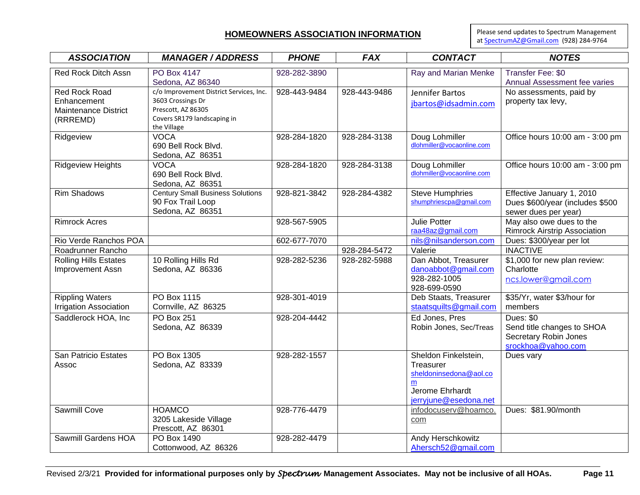| <b>ASSOCIATION</b>                                                      | <b>MANAGER / ADDRESS</b>                                                                                                         | <b>PHONE</b> | <b>FAX</b>   | <b>CONTACT</b>                                                                                               | <b>NOTES</b>                                                                           |
|-------------------------------------------------------------------------|----------------------------------------------------------------------------------------------------------------------------------|--------------|--------------|--------------------------------------------------------------------------------------------------------------|----------------------------------------------------------------------------------------|
| Red Rock Ditch Assn                                                     | PO Box 4147<br>Sedona, AZ 86340                                                                                                  | 928-282-3890 |              | Ray and Marian Menke                                                                                         | <b>Transfer Fee: \$0</b><br>Annual Assessment fee varies                               |
| Red Rock Road<br>Enhancement<br><b>Maintenance District</b><br>(RRREMD) | c/o Improvement District Services, Inc.<br>3603 Crossings Dr<br>Prescott, AZ 86305<br>Covers SR179 landscaping in<br>the Village | 928-443-9484 | 928-443-9486 | Jennifer Bartos<br>jbartos@idsadmin.com                                                                      | No assessments, paid by<br>property tax levy,                                          |
| Ridgeview                                                               | <b>VOCA</b><br>690 Bell Rock Blvd.<br>Sedona, AZ 86351                                                                           | 928-284-1820 | 928-284-3138 | Doug Lohmiller<br>dlohmiller@vocaonline.com                                                                  | Office hours 10:00 am - 3:00 pm                                                        |
| <b>Ridgeview Heights</b>                                                | <b>VOCA</b><br>690 Bell Rock Blvd.<br>Sedona, AZ 86351                                                                           | 928-284-1820 | 928-284-3138 | Doug Lohmiller<br>dlohmiller@vocaonline.com                                                                  | Office hours 10:00 am - 3:00 pm                                                        |
| <b>Rim Shadows</b>                                                      | <b>Century Small Business Solutions</b><br>90 Fox Trail Loop<br>Sedona, AZ 86351                                                 | 928-821-3842 | 928-284-4382 | <b>Steve Humphries</b><br>shumphriescpa@gmail.com                                                            | Effective January 1, 2010<br>Dues \$600/year (includes \$500<br>sewer dues per year)   |
| <b>Rimrock Acres</b>                                                    |                                                                                                                                  | 928-567-5905 |              | <b>Julie Potter</b><br>raa48az@gmail.com                                                                     | May also owe dues to the<br><b>Rimrock Airstrip Association</b>                        |
| Rio Verde Ranchos POA                                                   |                                                                                                                                  | 602-677-7070 |              | nils@nilsanderson.com                                                                                        | Dues: \$300/year per lot                                                               |
| Roadrunner Rancho                                                       |                                                                                                                                  |              | 928-284-5472 | Valerie                                                                                                      | <b>INACTIVE</b>                                                                        |
| <b>Rolling Hills Estates</b><br><b>Improvement Assn</b>                 | 10 Rolling Hills Rd<br>Sedona, AZ 86336                                                                                          | 928-282-5236 | 928-282-5988 | Dan Abbot, Treasurer<br>danoabbot@gmail.com<br>928-282-1005<br>928-699-0590                                  | \$1,000 for new plan review:<br>Charlotte<br>ncs.lower@gmail.com                       |
| <b>Rippling Waters</b><br><b>Irrigation Association</b>                 | PO Box 1115<br>Cornville, AZ 86325                                                                                               | 928-301-4019 |              | Deb Staats, Treasurer<br>staatsquilts@gmail.com                                                              | \$35/Yr, water \$3/hour for<br>members                                                 |
| Saddlerock HOA, Inc                                                     | <b>PO Box 251</b><br>Sedona, AZ 86339                                                                                            | 928-204-4442 |              | Ed Jones, Pres<br>Robin Jones, Sec/Treas                                                                     | Dues: \$0<br>Send title changes to SHOA<br>Secretary Robin Jones<br>srockhoa@yahoo.com |
| San Patricio Estates<br>Assoc                                           | PO Box 1305<br>Sedona, AZ 83339                                                                                                  | 928-282-1557 |              | Sheldon Finkelstein,<br>Treasurer<br>sheldoninsedona@aol.co<br>m<br>Jerome Ehrhardt<br>jerryjune@esedona.net | Dues vary                                                                              |
| Sawmill Cove                                                            | <b>HOAMCO</b><br>3205 Lakeside Village<br>Prescott, AZ 86301                                                                     | 928-776-4479 |              | infodocuserv@hoamco.<br>com                                                                                  | Dues: \$81.90/month                                                                    |
| Sawmill Gardens HOA                                                     | PO Box 1490<br>Cottonwood, AZ 86326                                                                                              | 928-282-4479 |              | Andy Herschkowitz<br>Ahersch52@gmail.com                                                                     |                                                                                        |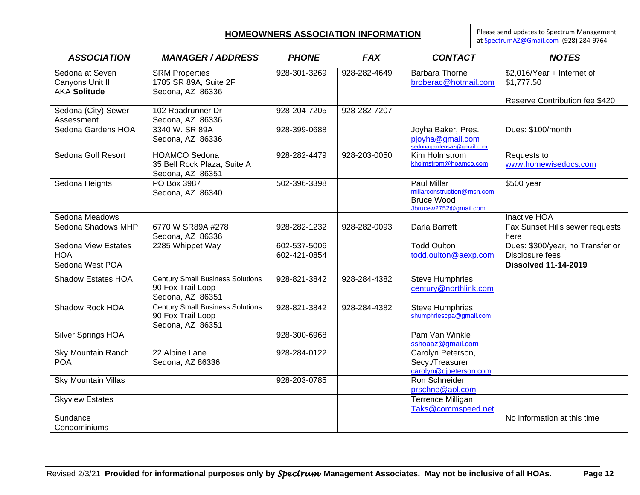| <b>ASSOCIATION</b>                                        | <b>MANAGER / ADDRESS</b>                                                         | <b>PHONE</b>                 | <b>FAX</b>   | <b>CONTACT</b>                                                                                 | <b>NOTES</b>                                                               |
|-----------------------------------------------------------|----------------------------------------------------------------------------------|------------------------------|--------------|------------------------------------------------------------------------------------------------|----------------------------------------------------------------------------|
| Sedona at Seven<br>Canyons Unit II<br><b>AKA Solitude</b> | <b>SRM Properties</b><br>1785 SR 89A, Suite 2F<br>Sedona, AZ 86336               | 928-301-3269                 | 928-282-4649 | <b>Barbara Thorne</b><br>broberac@hotmail.com                                                  | \$2,016/Year + Internet of<br>\$1,777.50<br>Reserve Contribution fee \$420 |
| Sedona (City) Sewer<br>Assessment                         | 102 Roadrunner Dr<br>Sedona, AZ 86336                                            | 928-204-7205                 | 928-282-7207 |                                                                                                |                                                                            |
| Sedona Gardens HOA                                        | 3340 W. SR 89A<br>Sedona, AZ 86336                                               | 928-399-0688                 |              | Joyha Baker, Pres.<br>pjoyha@gmail.com                                                         | Dues: \$100/month                                                          |
| Sedona Golf Resort                                        | <b>HOAMCO Sedona</b><br>35 Bell Rock Plaza, Suite A<br>Sedona, AZ 86351          | 928-282-4479                 | 928-203-0050 | Kim Holmstrom<br>kholmstrom@hoamco.com                                                         | Requests to<br>www.homewisedocs.com                                        |
| Sedona Heights                                            | PO Box 3987<br>Sedona, AZ 86340                                                  | 502-396-3398                 |              | <b>Paul Millar</b><br>millarconstruction@msn.com<br><b>Bruce Wood</b><br>Jbrucew2752@gmail.com | \$500 year                                                                 |
| Sedona Meadows                                            |                                                                                  |                              |              |                                                                                                | <b>Inactive HOA</b>                                                        |
| Sedona Shadows MHP                                        | 6770 W SR89A #278<br>Sedona, AZ 86336                                            | 928-282-1232                 | 928-282-0093 | Darla Barrett                                                                                  | Fax Sunset Hills sewer requests<br>here                                    |
| Sedona View Estates<br><b>HOA</b>                         | 2285 Whippet Way                                                                 | 602-537-5006<br>602-421-0854 |              | <b>Todd Oulton</b><br>todd.oulton@aexp.com                                                     | Dues: \$300/year, no Transfer or<br>Disclosure fees                        |
| Sedona West POA                                           |                                                                                  |                              |              |                                                                                                | <b>Dissolved 11-14-2019</b>                                                |
| <b>Shadow Estates HOA</b>                                 | <b>Century Small Business Solutions</b><br>90 Fox Trail Loop<br>Sedona, AZ 86351 | 928-821-3842                 | 928-284-4382 | <b>Steve Humphries</b><br>century@northlink.com                                                |                                                                            |
| Shadow Rock HOA                                           | <b>Century Small Business Solutions</b><br>90 Fox Trail Loop<br>Sedona, AZ 86351 | 928-821-3842                 | 928-284-4382 | <b>Steve Humphries</b><br>shumphriescpa@gmail.com                                              |                                                                            |
| <b>Silver Springs HOA</b>                                 |                                                                                  | 928-300-6968                 |              | Pam Van Winkle<br>sshoaaz@gmail.com                                                            |                                                                            |
| Sky Mountain Ranch<br><b>POA</b>                          | 22 Alpine Lane<br>Sedona, AZ 86336                                               | 928-284-0122                 |              | Carolyn Peterson,<br>Secy./Treasurer<br>carolyn@cjpeterson.com                                 |                                                                            |
| Sky Mountain Villas                                       |                                                                                  | 928-203-0785                 |              | Ron Schneider<br>prschne@aol.com                                                               |                                                                            |
| <b>Skyview Estates</b>                                    |                                                                                  |                              |              | Terrence Milligan<br>Taks@commspeed.net                                                        |                                                                            |
| Sundance<br>Condominiums                                  |                                                                                  |                              |              |                                                                                                | No information at this time                                                |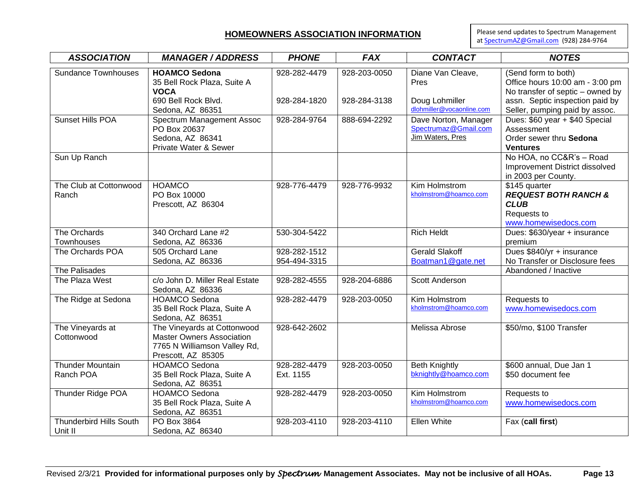| <b>ASSOCIATION</b>                        | <b>MANAGER / ADDRESS</b>                                                                                              | <b>PHONE</b>                 | <b>FAX</b>   | <b>CONTACT</b>                                                   | <b>NOTES</b>                                                                                           |
|-------------------------------------------|-----------------------------------------------------------------------------------------------------------------------|------------------------------|--------------|------------------------------------------------------------------|--------------------------------------------------------------------------------------------------------|
| <b>Sundance Townhouses</b>                | <b>HOAMCO Sedona</b><br>35 Bell Rock Plaza, Suite A<br><b>VOCA</b>                                                    | 928-282-4479                 | 928-203-0050 | Diane Van Cleave,<br>Pres                                        | (Send form to both)<br>Office hours 10:00 am - 3:00 pm<br>No transfer of septic – owned by             |
|                                           | 690 Bell Rock Blvd.<br>Sedona, AZ 86351                                                                               | 928-284-1820                 | 928-284-3138 | Doug Lohmiller<br>dlohmiller@vocaonline.com                      | assn. Septic inspection paid by<br>Seller, pumping paid by assoc.                                      |
| <b>Sunset Hills POA</b>                   | Spectrum Management Assoc<br>PO Box 20637<br>Sedona, AZ 86341<br>Private Water & Sewer                                | 928-284-9764                 | 888-694-2292 | Dave Norton, Manager<br>Spectrumaz@Gmail.com<br>Jim Waters, Pres | Dues: \$60 year + \$40 Special<br>Assessment<br>Order sewer thru Sedona<br><b>Ventures</b>             |
| Sun Up Ranch                              |                                                                                                                       |                              |              |                                                                  | No HOA, no CC&R's - Road<br>Improvement District dissolved<br>in 2003 per County.                      |
| The Club at Cottonwood<br>Ranch           | <b>HOAMCO</b><br>PO Box 10000<br>Prescott, AZ 86304                                                                   | 928-776-4479                 | 928-776-9932 | Kim Holmstrom<br>kholmstrom@hoamco.com                           | \$145 quarter<br><b>REQUEST BOTH RANCH &amp;</b><br><b>CLUB</b><br>Requests to<br>www.homewisedocs.com |
| The Orchards<br>Townhouses                | 340 Orchard Lane #2<br>Sedona, AZ 86336                                                                               | 530-304-5422                 |              | <b>Rich Heldt</b>                                                | Dues: \$630/year + insurance<br>premium                                                                |
| The Orchards POA                          | 505 Orchard Lane<br>Sedona, AZ 86336                                                                                  | 928-282-1512<br>954-494-3315 |              | <b>Gerald Slakoff</b><br>Boatman1@gate.net                       | Dues \$840/yr + insurance<br>No Transfer or Disclosure fees                                            |
| The Palisades                             |                                                                                                                       |                              |              |                                                                  | Abandoned / Inactive                                                                                   |
| The Plaza West                            | c/o John D. Miller Real Estate<br>Sedona, AZ 86336                                                                    | 928-282-4555                 | 928-204-6886 | Scott Anderson                                                   |                                                                                                        |
| The Ridge at Sedona                       | <b>HOAMCO</b> Sedona<br>35 Bell Rock Plaza, Suite A<br>Sedona, AZ 86351                                               | 928-282-4479                 | 928-203-0050 | Kim Holmstrom<br>kholmstrom@hoamco.com                           | Requests to<br>www.homewisedocs.com                                                                    |
| The Vineyards at<br>Cottonwood            | The Vineyards at Cottonwood<br><b>Master Owners Association</b><br>7765 N Williamson Valley Rd,<br>Prescott, AZ 85305 | 928-642-2602                 |              | Melissa Abrose                                                   | \$50/mo, \$100 Transfer                                                                                |
| <b>Thunder Mountain</b><br>Ranch POA      | <b>HOAMCO</b> Sedona<br>35 Bell Rock Plaza, Suite A<br>Sedona, AZ 86351                                               | 928-282-4479<br>Ext. 1155    | 928-203-0050 | <b>Beth Knightly</b><br>bknightly@hoamco.com                     | \$600 annual, Due Jan 1<br>\$50 document fee                                                           |
| Thunder Ridge POA                         | <b>HOAMCO</b> Sedona<br>35 Bell Rock Plaza, Suite A<br>Sedona, AZ 86351                                               | 928-282-4479                 | 928-203-0050 | Kim Holmstrom<br>kholmstrom@hoamco.com                           | Requests to<br>www.homewisedocs.com                                                                    |
| <b>Thunderbird Hills South</b><br>Unit II | PO Box 3864<br>Sedona, AZ 86340                                                                                       | 928-203-4110                 | 928-203-4110 | Ellen White                                                      | Fax (call first)                                                                                       |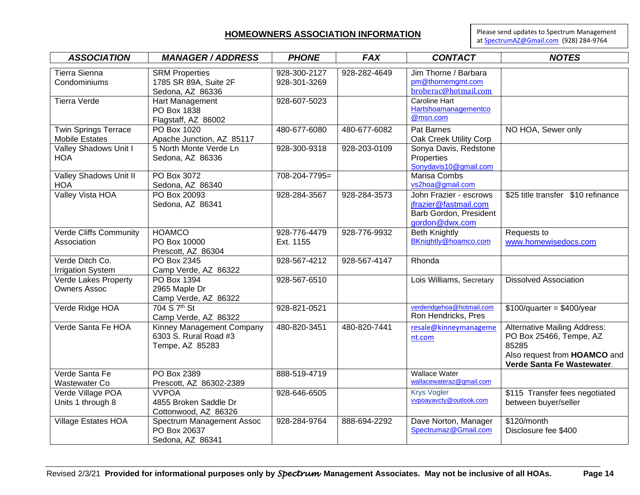| <b>ASSOCIATION</b>                                   | <b>MANAGER / ADDRESS</b>                                              | <b>PHONE</b>                 | <b>FAX</b>   | <b>CONTACT</b>                                                                              | <b>NOTES</b>                                                                                                                          |
|------------------------------------------------------|-----------------------------------------------------------------------|------------------------------|--------------|---------------------------------------------------------------------------------------------|---------------------------------------------------------------------------------------------------------------------------------------|
| <b>Tierra Sienna</b><br>Condominiums                 | <b>SRM Properties</b><br>1785 SR 89A, Suite 2F<br>Sedona, AZ 86336    | 928-300-2127<br>928-301-3269 | 928-282-4649 | Jim Thorne / Barbara<br>pm@thornemgmt.com<br>broberac@hotmail.com                           |                                                                                                                                       |
| <b>Tierra Verde</b>                                  | <b>Hart Management</b><br>PO Box 1838<br>Flagstaff, AZ 86002          | 928-607-5023                 |              | <b>Caroline Hart</b><br>Hartshoamanagementco<br>@msn.com                                    |                                                                                                                                       |
| <b>Twin Springs Terrace</b><br><b>Mobile Estates</b> | PO Box 1020<br>Apache Junction, AZ 85117                              | 480-677-6080                 | 480-677-6082 | Pat Barnes<br>Oak Creek Utility Corp                                                        | NO HOA, Sewer only                                                                                                                    |
| Valley Shadows Unit I<br><b>HOA</b>                  | 5 North Monte Verde Ln<br>Sedona, AZ 86336                            | 928-300-9318                 | 928-203-0109 | Sonya Davis, Redstone<br>Properties<br>Sonydavis10@gmail.com                                |                                                                                                                                       |
| Valley Shadows Unit II<br><b>HOA</b>                 | PO Box 3072<br>Sedona, AZ 86340                                       | 708-204-7795=                |              | Marisa Combs<br>vs2hoa@gmail.com                                                            |                                                                                                                                       |
| Valley Vista HOA                                     | PO Box 20093<br>Sedona, AZ 86341                                      | 928-284-3567                 | 928-284-3573 | John Frazier - escrows<br>jfrazier@fastmail.com<br>Barb Gordon, President<br>gordon@dwx.com | \$25 title transfer \$10 refinance                                                                                                    |
| <b>Verde Cliffs Community</b><br>Association         | <b>HOAMCO</b><br>PO Box 10000<br>Prescott, AZ 86304                   | 928-776-4479<br>Ext. 1155    | 928-776-9932 | <b>Beth Knightly</b><br>BKnightly@hoamco.com                                                | Requests to<br>www.homewisedocs.com                                                                                                   |
| Verde Ditch Co.<br><b>Irrigation System</b>          | <b>PO Box 2345</b><br>Camp Verde, AZ 86322                            | 928-567-4212                 | 928-567-4147 | Rhonda                                                                                      |                                                                                                                                       |
| <b>Verde Lakes Property</b><br><b>Owners Assoc</b>   | PO Box 1394<br>2965 Maple Dr<br>Camp Verde, AZ 86322                  | 928-567-6510                 |              | Lois Williams, Secretary                                                                    | <b>Dissolved Association</b>                                                                                                          |
| Verde Ridge HOA                                      | 704 S 7 <sup>th</sup> St<br>Camp Verde, AZ 86322                      | 928-821-0521                 |              | verderidgehoa@hotmail.com<br>Ron Hendricks, Pres                                            | $$100$ /quarter = \$400/year                                                                                                          |
| Verde Santa Fe HOA                                   | Kinney Management Company<br>6303 S. Rural Road #3<br>Tempe, AZ 85283 | 480-820-3451                 | 480-820-7441 | resale@kinneymanageme<br>nt.com                                                             | <b>Alternative Mailing Address:</b><br>PO Box 25466, Tempe, AZ<br>85285<br>Also request from HOAMCO and<br>Verde Santa Fe Wastewater. |
| Verde Santa Fe<br>Wastewater Co                      | PO Box 2389<br>Prescott, AZ 86302-2389                                | 888-519-4719                 |              | <b>Wallace Water</b><br>wallacewateraz@gmail.com                                            |                                                                                                                                       |
| Verde Village POA<br>Units 1 through 8               | <b>VVPOA</b><br>4855 Broken Saddle Dr<br>Cottonwood, AZ 86326         | 928-646-6505                 |              | <b>Krys Vogler</b><br>vvpoayavcty@outlook.com                                               | \$115 Transfer fees negotiated<br>between buyer/seller                                                                                |
| Village Estates HOA                                  | Spectrum Management Assoc<br>PO Box 20637<br>Sedona, AZ 86341         | 928-284-9764                 | 888-694-2292 | Dave Norton, Manager<br>Spectrumaz@Gmail.com                                                | \$120/month<br>Disclosure fee \$400                                                                                                   |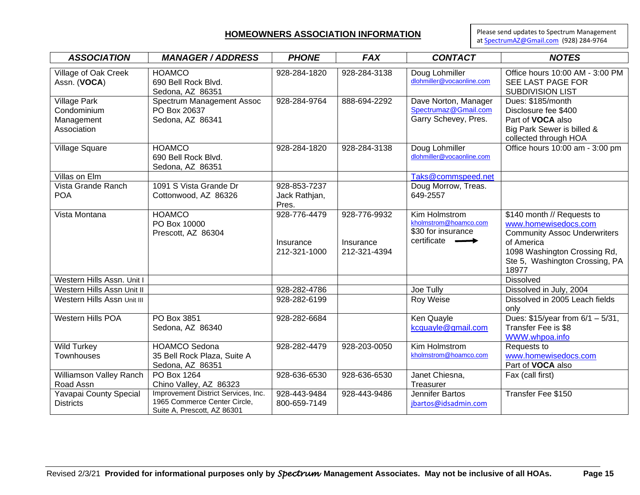| <b>ASSOCIATION</b>                                              | <b>MANAGER / ADDRESS</b>                                                                           | <b>PHONE</b>                              | <b>FAX</b>                                | <b>CONTACT</b>                                                                | <b>NOTES</b>                                                                                                                                                                       |
|-----------------------------------------------------------------|----------------------------------------------------------------------------------------------------|-------------------------------------------|-------------------------------------------|-------------------------------------------------------------------------------|------------------------------------------------------------------------------------------------------------------------------------------------------------------------------------|
| Village of Oak Creek<br>Assn. (VOCA)                            | <b>HOAMCO</b><br>690 Bell Rock Blvd.<br>Sedona, AZ 86351                                           | 928-284-1820                              | 928-284-3138                              | Doug Lohmiller<br>dlohmiller@vocaonline.com                                   | Office hours 10:00 AM - 3:00 PM<br>SEE LAST PAGE FOR<br><b>SUBDIVISION LIST</b>                                                                                                    |
| <b>Village Park</b><br>Condominium<br>Management<br>Association | Spectrum Management Assoc<br>PO Box 20637<br>Sedona, AZ 86341                                      | 928-284-9764                              | 888-694-2292                              | Dave Norton, Manager<br>Spectrumaz@Gmail.com<br>Garry Schevey, Pres.          | Dues: \$185/month<br>Disclosure fee \$400<br>Part of <b>VOCA</b> also<br>Big Park Sewer is billed &<br>collected through HOA                                                       |
| Village Square                                                  | <b>HOAMCO</b><br>690 Bell Rock Blvd.<br>Sedona, AZ 86351                                           | 928-284-1820                              | 928-284-3138                              | Doug Lohmiller<br>dlohmiller@vocaonline.com                                   | Office hours 10:00 am - 3:00 pm                                                                                                                                                    |
| Villas on Elm                                                   |                                                                                                    |                                           |                                           | Taks@commspeed.net                                                            |                                                                                                                                                                                    |
| Vista Grande Ranch<br><b>POA</b>                                | 1091 S Vista Grande Dr<br>Cottonwood, AZ 86326                                                     | 928-853-7237<br>Jack Rathjan,<br>Pres.    |                                           | Doug Morrow, Treas.<br>649-2557                                               |                                                                                                                                                                                    |
| Vista Montana                                                   | <b>HOAMCO</b><br>PO Box 10000<br>Prescott, AZ 86304                                                | 928-776-4479<br>Insurance<br>212-321-1000 | 928-776-9932<br>Insurance<br>212-321-4394 | Kim Holmstrom<br>kholmstrom@hoamco.com<br>\$30 for insurance<br>certificate - | \$140 month // Requests to<br>www.homewisedocs.com<br><b>Community Assoc Underwriters</b><br>of America<br>1098 Washington Crossing Rd,<br>Ste 5, Washington Crossing, PA<br>18977 |
| Western Hills Assn. Unit I                                      |                                                                                                    |                                           |                                           |                                                                               | <b>Dissolved</b>                                                                                                                                                                   |
| Western Hills Assn Unit II                                      |                                                                                                    | 928-282-4786                              |                                           | Joe Tully                                                                     | Dissolved in July, 2004                                                                                                                                                            |
| Western Hills Assn Unit III                                     |                                                                                                    | 928-282-6199                              |                                           | Roy Weise                                                                     | Dissolved in 2005 Leach fields<br>only                                                                                                                                             |
| Western Hills POA                                               | PO Box 3851<br>Sedona, AZ 86340                                                                    | 928-282-6684                              |                                           | Ken Quayle<br>kcquayle@gmail.com                                              | Dues: $$15/year$ from $6/1 - 5/31$ ,<br>Transfer Fee is \$8<br>WWW.whpoa.info                                                                                                      |
| <b>Wild Turkey</b>                                              | <b>HOAMCO Sedona</b>                                                                               | 928-282-4479                              | 928-203-0050                              | Kim Holmstrom                                                                 | Requests to                                                                                                                                                                        |
| Townhouses                                                      | 35 Bell Rock Plaza, Suite A<br>Sedona, AZ 86351                                                    |                                           |                                           | kholmstrom@hoamco.com                                                         | www.homewisedocs.com<br>Part of VOCA also                                                                                                                                          |
| Williamson Valley Ranch                                         | PO Box 1264                                                                                        | 928-636-6530                              | 928-636-6530                              | Janet Chiesna,                                                                | Fax (call first)                                                                                                                                                                   |
| Road Assn                                                       | Chino Valley, AZ 86323                                                                             |                                           |                                           | Treasurer                                                                     |                                                                                                                                                                                    |
| <b>Yavapai County Special</b><br><b>Districts</b>               | Improvement District Services, Inc.<br>1965 Commerce Center Circle,<br>Suite A, Prescott, AZ 86301 | 928-443-9484<br>800-659-7149              | 928-443-9486                              | Jennifer Bartos<br>jbartos@idsadmin.com                                       | Transfer Fee \$150                                                                                                                                                                 |